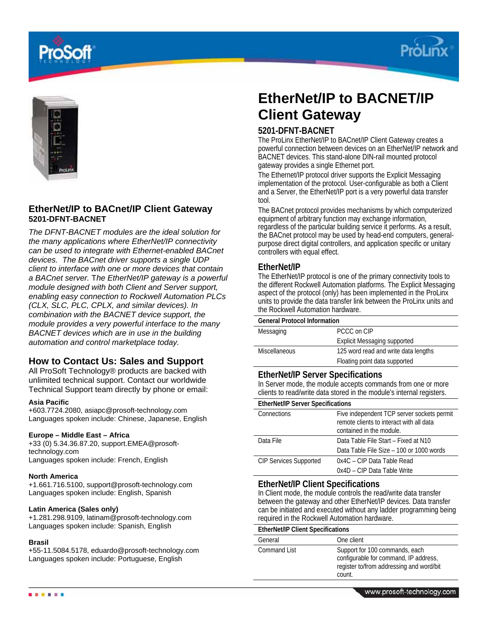





# **EtherNet/IP to BACnet/IP Client Gateway 5201-DFNT-BACNET**

*The DFNT-BACNET modules are the ideal solution for the many applications where EtherNet/IP connectivity can be used to integrate with Ethernet-enabled BACnet devices. The BACnet driver supports a single UDP client to interface with one or more devices that contain a BACnet server.* T*he EtherNet/IP gateway is a powerful module designed with both Client and Server support, enabling easy connection to Rockwell Automation PLCs (CLX, SLC, PLC, CPLX, and similar devices). In combination with the BACNET device support, the module provides a very powerful interface to the many BACNET devices which are in use in the building automation and control marketplace today.* 

# **How to Contact Us: Sales and Support**

All ProSoft Technology® products are backed with unlimited technical support. Contact our worldwide Technical Support team directly by phone or email:

## **Asia Pacific**

+603.7724.2080, asiapc@prosoft-technology.com Languages spoken include: Chinese, Japanese, English

## **Europe – Middle East – Africa**

+33 (0) 5.34.36.87.20, support.EMEA@prosofttechnology.com Languages spoken include: French, English

## **North America**

+1.661.716.5100, support@prosoft-technology.com Languages spoken include: English, Spanish

## **Latin America (Sales only)**

+1.281.298.9109, latinam@prosoft-technology.com Languages spoken include: Spanish, English

#### **Brasil**

+55-11.5084.5178, eduardo@prosoft-technology.com Languages spoken include: Portuguese, English

# **EtherNet/IP to BACNET/IP Client Gateway**

## **5201-DFNT-BACNET**

The ProLinx EtherNet/IP to BACnet/IP Client Gateway creates a powerful connection between devices on an EtherNet/IP network and BACNET devices. This stand-alone DIN-rail mounted protocol gateway provides a single Ethernet port.

The Ethernet/IP protocol driver supports the Explicit Messaging implementation of the protocol. User-configurable as both a Client and a Server, the EtherNet/IP port is a very powerful data transfer tool.

The BACnet protocol provides mechanisms by which computerized equipment of arbitrary function may exchange information, regardless of the particular building service it performs. As a result, the BACnet protocol may be used by head-end computers, generalpurpose direct digital controllers, and application specific or unitary controllers with equal effect.

## **EtherNet/IP**

The EtherNet/IP protocol is one of the primary connectivity tools to the different Rockwell Automation platforms. The Explicit Messaging aspect of the protocol (only) has been implemented in the ProLinx units to provide the data transfer link between the ProLinx units and the Rockwell Automation hardware.

#### **General Protocol Information**

| Messaging            | PCCC on CIP                          |
|----------------------|--------------------------------------|
|                      | Explicit Messaging supported         |
| <b>Miscellaneous</b> | 125 word read and write data lengths |
|                      | Floating point data supported        |

## **EtherNet/IP Server Specifications**

In Server mode, the module accepts commands from one or more clients to read/write data stored in the module's internal registers.

| <b>EtherNet/IP Server Specifications</b> |                                                                                                                    |  |
|------------------------------------------|--------------------------------------------------------------------------------------------------------------------|--|
| Connections                              | Five independent TCP server sockets permit<br>remote clients to interact with all data<br>contained in the module. |  |
| Data File                                | Data Table File Start - Fixed at N10                                                                               |  |
|                                          | Data Table File Size - 100 or 1000 words                                                                           |  |
| <b>CIP Services Supported</b>            | 0x4C - CIP Data Table Read                                                                                         |  |
|                                          | 0x4D – CIP Data Table Write                                                                                        |  |

## **EtherNet/IP Client Specifications**

In Client mode, the module controls the read/write data transfer between the gateway and other EtherNet/IP devices. Data transfer can be initiated and executed without any ladder programming being required in the Rockwell Automation hardware.

#### **EtherNet/IP Client Specifications**

| General      | One client                                                                                                                    |
|--------------|-------------------------------------------------------------------------------------------------------------------------------|
| Command List | Support for 100 commands, each<br>configurable for command, IP address,<br>register to/from addressing and word/bit<br>count. |
|              |                                                                                                                               |